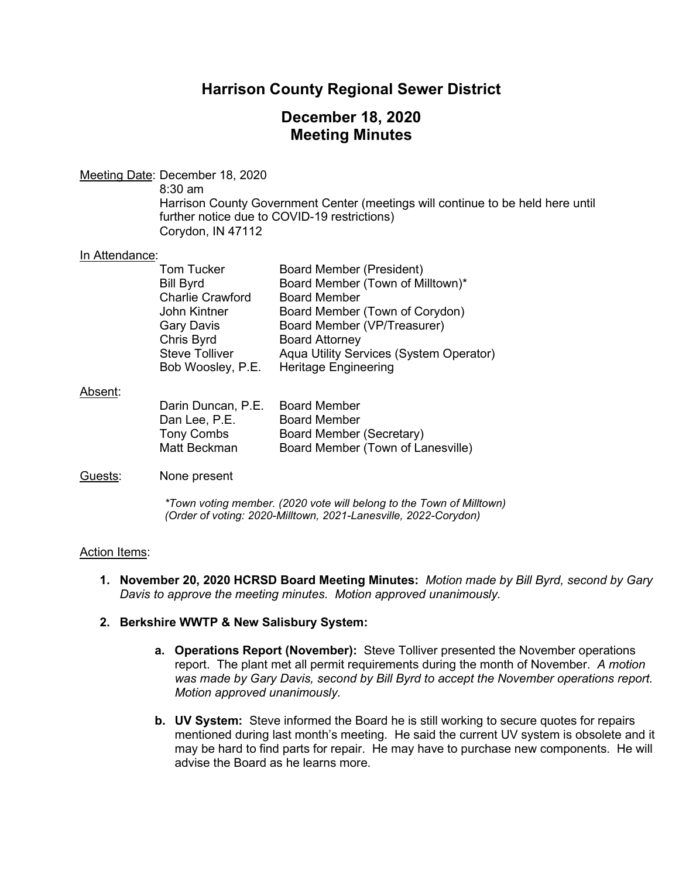## **Harrison County Regional Sewer District**

## **December 18, 2020 Meeting Minutes**

## Meeting Date: December 18, 2020

8:30 am Harrison County Government Center (meetings will continue to be held here until further notice due to COVID-19 restrictions) Corydon, IN 47112

#### In Attendance:

| Tom Tucker              | <b>Board Member (President)</b>         |
|-------------------------|-----------------------------------------|
| Bill Byrd               | Board Member (Town of Milltown)*        |
| <b>Charlie Crawford</b> | <b>Board Member</b>                     |
| John Kintner            | Board Member (Town of Corydon)          |
| <b>Gary Davis</b>       | Board Member (VP/Treasurer)             |
| Chris Byrd              | <b>Board Attorney</b>                   |
| <b>Steve Tolliver</b>   | Aqua Utility Services (System Operator) |
| Bob Woosley, P.E.       | Heritage Engineering                    |

#### Absent:

| <b>Board Member</b>               |
|-----------------------------------|
| <b>Board Member</b>               |
| Board Member (Secretary)          |
| Board Member (Town of Lanesville) |
|                                   |

#### Guests: None present

*\*Town voting member. (2020 vote will belong to the Town of Milltown) (Order of voting: 2020-Milltown, 2021-Lanesville, 2022-Corydon)* 

#### Action Items:

**1. November 20, 2020 HCRSD Board Meeting Minutes:** *Motion made by Bill Byrd, second by Gary Davis to approve the meeting minutes. Motion approved unanimously.*

### **2. Berkshire WWTP & New Salisbury System:**

- **a. Operations Report (November):** Steve Tolliver presented the November operations report. The plant met all permit requirements during the month of November. *A motion was made by Gary Davis, second by Bill Byrd to accept the November operations report. Motion approved unanimously.*
- **b. UV System:** Steve informed the Board he is still working to secure quotes for repairs mentioned during last month's meeting. He said the current UV system is obsolete and it may be hard to find parts for repair. He may have to purchase new components. He will advise the Board as he learns more.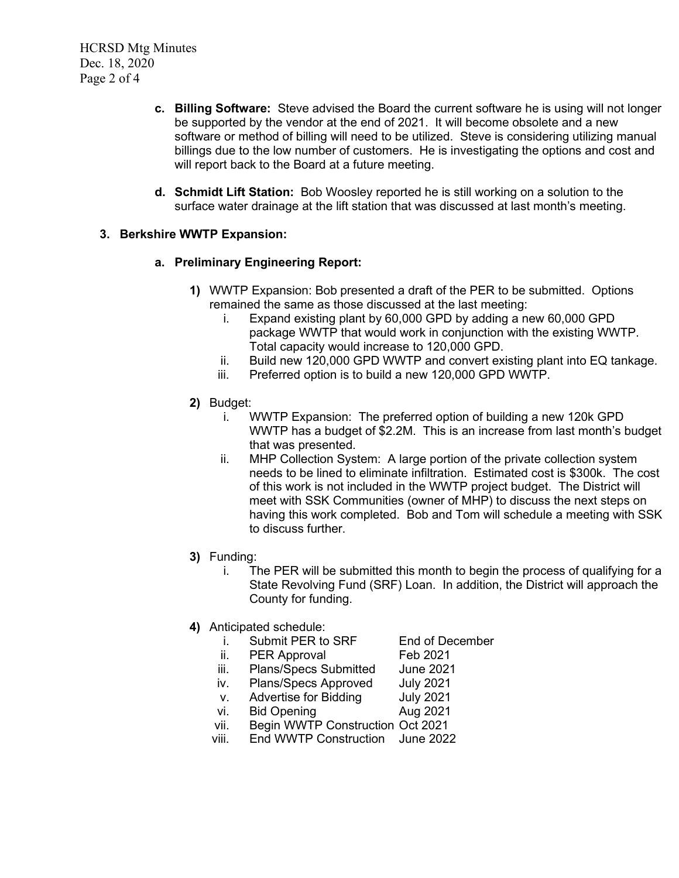- **c. Billing Software:** Steve advised the Board the current software he is using will not longer be supported by the vendor at the end of 2021. It will become obsolete and a new software or method of billing will need to be utilized. Steve is considering utilizing manual billings due to the low number of customers. He is investigating the options and cost and will report back to the Board at a future meeting.
- **d. Schmidt Lift Station:** Bob Woosley reported he is still working on a solution to the surface water drainage at the lift station that was discussed at last month's meeting.

### **3. Berkshire WWTP Expansion:**

### **a. Preliminary Engineering Report:**

- **1)** WWTP Expansion: Bob presented a draft of the PER to be submitted. Options remained the same as those discussed at the last meeting:
	- i. Expand existing plant by 60,000 GPD by adding a new 60,000 GPD package WWTP that would work in conjunction with the existing WWTP. Total capacity would increase to 120,000 GPD.
	- ii. Build new 120,000 GPD WWTP and convert existing plant into EQ tankage.
	- iii. Preferred option is to build a new 120,000 GPD WWTP.
- **2)** Budget:
	- i. WWTP Expansion: The preferred option of building a new 120k GPD WWTP has a budget of \$2.2M. This is an increase from last month's budget that was presented.
	- ii. MHP Collection System: A large portion of the private collection system needs to be lined to eliminate infiltration. Estimated cost is \$300k. The cost of this work is not included in the WWTP project budget. The District will meet with SSK Communities (owner of MHP) to discuss the next steps on having this work completed. Bob and Tom will schedule a meeting with SSK to discuss further.
- **3)** Funding:
	- i. The PER will be submitted this month to begin the process of qualifying for a State Revolving Fund (SRF) Loan. In addition, the District will approach the County for funding.
- **4)** Anticipated schedule:
	- i. Submit PER to SRF End of December
	- ii. PER Approval Feb 2021
	- iii. Plans/Specs Submitted June 2021
	- iv. Plans/Specs Approved July 2021
	- v. Advertise for Bidding July 2021
	- vi. Bid Opening **Aug 2021**
	- vii. Begin WWTP Construction Oct 2021
	- viii. End WWTP Construction June 2022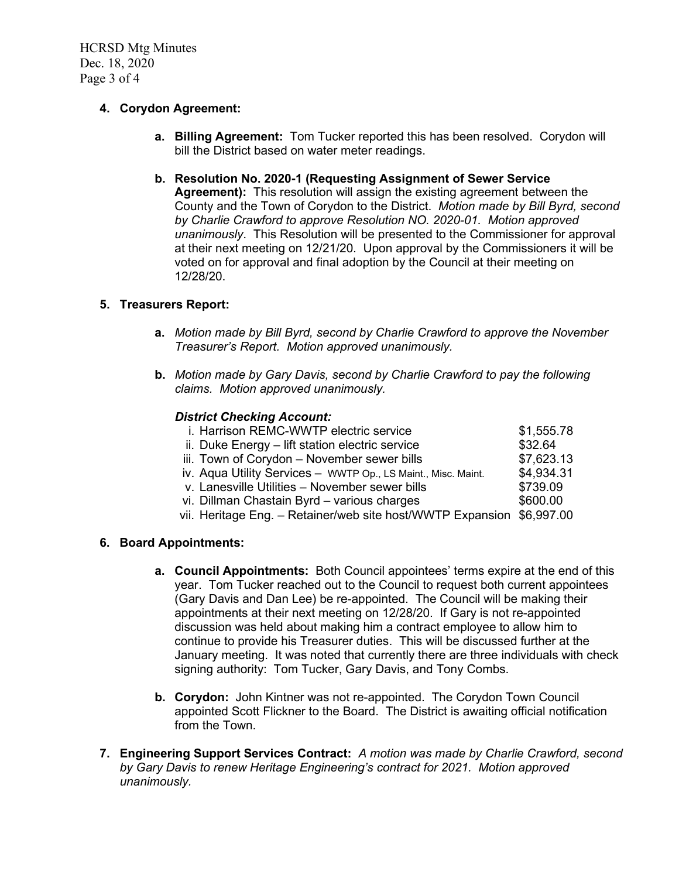HCRSD Mtg Minutes Dec. 18, 2020 Page 3 of 4

## **4. Corydon Agreement:**

- **a. Billing Agreement:** Tom Tucker reported this has been resolved. Corydon will bill the District based on water meter readings.
- **b. Resolution No. 2020-1 (Requesting Assignment of Sewer Service Agreement):** This resolution will assign the existing agreement between the County and the Town of Corydon to the District. *Motion made by Bill Byrd, second by Charlie Crawford to approve Resolution NO. 2020-01. Motion approved unanimously*. This Resolution will be presented to the Commissioner for approval at their next meeting on 12/21/20. Upon approval by the Commissioners it will be voted on for approval and final adoption by the Council at their meeting on 12/28/20.

## **5. Treasurers Report:**

- **a.** *Motion made by Bill Byrd, second by Charlie Crawford to approve the November Treasurer's Report. Motion approved unanimously.*
- **b.** *Motion made by Gary Davis, second by Charlie Crawford to pay the following claims. Motion approved unanimously.*

#### *District Checking Account:*

| i. Harrison REMC-WWTP electric service                                | \$1,555.78 |
|-----------------------------------------------------------------------|------------|
| ii. Duke Energy - lift station electric service                       | \$32.64    |
| iii. Town of Corydon - November sewer bills                           | \$7,623.13 |
| iv. Aqua Utility Services - WWTP Op., LS Maint., Misc. Maint.         | \$4,934.31 |
| v. Lanesville Utilities - November sewer bills                        | \$739.09   |
| vi. Dillman Chastain Byrd - various charges                           | \$600.00   |
| vii. Heritage Eng. - Retainer/web site host/WWTP Expansion \$6,997.00 |            |
|                                                                       |            |

### **6. Board Appointments:**

- **a. Council Appointments:** Both Council appointees' terms expire at the end of this year. Tom Tucker reached out to the Council to request both current appointees (Gary Davis and Dan Lee) be re-appointed. The Council will be making their appointments at their next meeting on 12/28/20. If Gary is not re-appointed discussion was held about making him a contract employee to allow him to continue to provide his Treasurer duties. This will be discussed further at the January meeting. It was noted that currently there are three individuals with check signing authority: Tom Tucker, Gary Davis, and Tony Combs.
- **b. Corydon:** John Kintner was not re-appointed. The Corydon Town Council appointed Scott Flickner to the Board. The District is awaiting official notification from the Town.
- **7. Engineering Support Services Contract:** *A motion was made by Charlie Crawford, second by Gary Davis to renew Heritage Engineering's contract for 2021. Motion approved unanimously.*